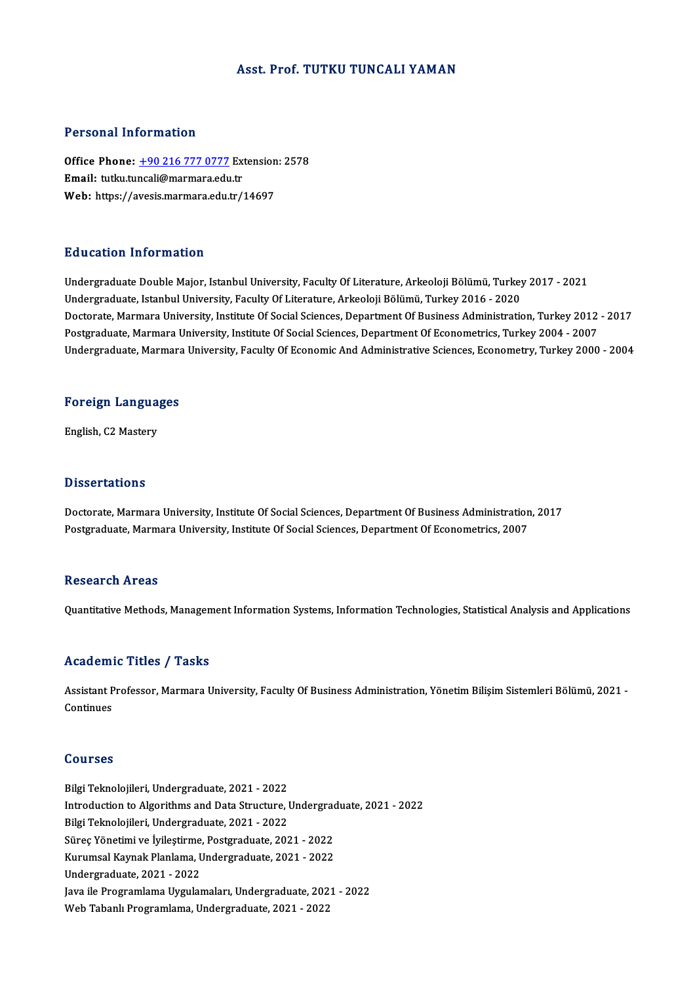### Asst. Prof. TUTKU TUNCALI YAMAN

### Personal Information

Personal Information<br>Office Phone: <u>+90 216 777 0777</u> Extension: 2578<br>Email: tutlu tungeli@marmara.odu.tr 1 STOOMAT MISS MACCON<br>Office Phone: <u>+90 216 777 0777</u> Ext<br>Email: tutku.tu[ncali@marmara.edu](tel:+90 216 777 0777).tr Office Phone: <u>+90 216 777 0777</u> Extension<br>Email: tutku.tuncali@marmara.edu.tr<br>Web: https://avesis.marmara.edu.tr/14697 Web: https://avesis.marmara.edu.tr/14697<br>Education Information

Undergraduate Double Major, Istanbul University, Faculty Of Literature, Arkeoloji Bölümü, Turkey 2017 - 2021 Undergraduate, Istanbul University, Faculty Of Literature, Arkeoloji Bölümü, Turkey 2016 - 2020 Doctorate, Marmara University, Institute Of Social Sciences, Department Of Business Administration, Turkey 2012 - 2017 Undergraduate, Istanbul University, Faculty Of Literature, Arkeoloji Bölümü, Turkey 2016 - 2020<br>Doctorate, Marmara University, Institute Of Social Sciences, Department Of Business Administration, Turkey 2012<br>Postgraduate, Doctorate, Marmara University, Institute Of Social Sciences, Department Of Business Administration, Turkey 2012 - 2017<br>Postgraduate, Marmara University, Institute Of Social Sciences, Department Of Econometrics, Turkey 2004

# <sub>ondergraduate, marmara</sub><br>Foreign Languages F<mark>oreign Langua</mark><br>English, C2 Mastery

English, C2 Mastery<br>Dissertations

Dissertations<br>Doctorate, Marmara University, Institute Of Social Sciences, Department Of Business Administration, 2017<br>Postareduate, Marmara University, Institute Of Social Sciences, Department Of Econometrics, 2007 D'isseer cacreme<br>Doctorate, Marmara University, Institute Of Social Sciences, Department Of Business Administration<br>Postgraduate, Marmara University, Institute Of Social Sciences, Department Of Econometrics, 2007 Postgraduate, Marmara University, Institute Of Social Sciences, Department Of Econometrics, 2007<br>Research Areas

Quantitative Methods, Management Information Systems, Information Technologies, Statistical Analysis and Applications

### Academic Titles / Tasks

Academic Titles / Tasks<br>Assistant Professor, Marmara University, Faculty Of Business Administration, Yönetim Bilişim Sistemleri Bölümü, 2021 -<br>Continues Assistant P<br>Continues **Continues**<br>**Courses** 

**Courses<br>Bilgi Teknolojileri, Undergraduate, 2021 - 2022<br>Introduction to Alsorithms and Data Structure, I** Bilgi Teknolojileri, Undergraduate, 2021 - 2022<br>Bilgi Teknolojileri, Undergraduate, 2021 - 2022<br>Bilgi Telmolojileri, Undergraduate, 2021, 2022 Bilgi Teknolojileri, Undergraduate, 2021 - 2022<br>Introduction to Algorithms and Data Structure, I<br>Bilgi Teknolojileri, Undergraduate, 2021 - 2022<br>Sünes Vänetimi ve Ivilestiume, Bestanaduate, 203 Introduction to Algorithms and Data Structure, Undergrad<br>Bilgi Teknolojileri, Undergraduate, 2021 - 2022<br>Süreç Yönetimi ve İyileştirme, Postgraduate, 2021 - 2022<br>Kumungal Kovpak Planlama, Undergraduate, 2021 - 2022 Bilgi Teknolojileri, Undergraduate, 2021 - 2022<br>Süreç Yönetimi ve İyileştirme, Postgraduate, 2021 - 2022<br>Kurumsal Kaynak Planlama, Undergraduate, 2021 - 2022<br>Undergraduate, 2021 - 2022 Süreç Yönetimi ve İyileştirme,<br>Kurumsal Kaynak Planlama, U<br>Undergraduate, 2021 - 2022<br>Isva ile Pregramlama Uygular Undergraduate, 2021 - 2022<br>Java ile Programlama Uygulamaları, Undergraduate, 2021 - 2022 Web Tabanlı Programlama, Undergraduate, 2021 - 2022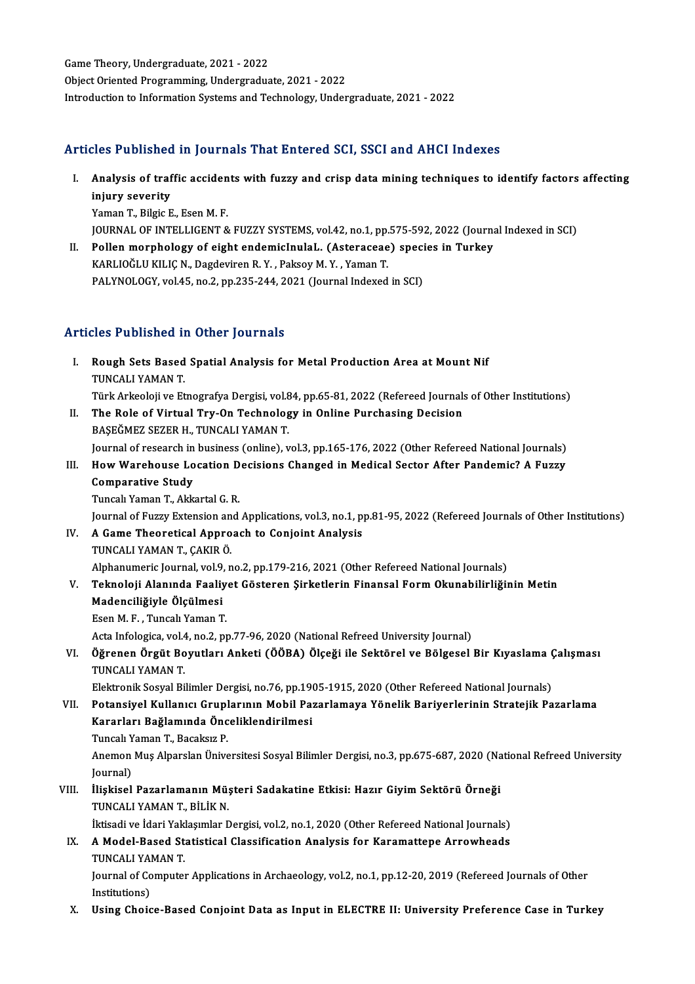Game Theory, Undergraduate, 2021 - 2022 Object Oriented Programming, Undergraduate, 2021 - 2022 Introduction to Information Systems and Technology, Undergraduate, 2021 - 2022

### Articles Published in Journals That Entered SCI, SSCI and AHCI Indexes

rticles Published in Journals That Entered SCI, SSCI and AHCI Indexes<br>I. Analysis of traffic accidents with fuzzy and crisp data mining techniques to identify factors affecting<br>injury severity ing a distinct<br>Analysis of traf<br>injury severity<br><sup>Vomon T.</sup> <sup>Bilgio E</sup> Analysis of traffic acciden<br>injury severity<br>Yaman T., Bilgic E., Esen M. F.<br>JOUPMAL OF INTELLICENT & injury severity<br>Yaman T., Bilgic E., Esen M. F.<br>JOURNAL OF INTELLIGENT & FUZZY SYSTEMS, vol.42, no.1, pp.575-592, 2022 (Journal Indexed in SCI)

Yaman T., Bilgic E., Esen M. F.<br>JOURNAL OF INTELLIGENT & FUZZY SYSTEMS, vol.42, no.1, pp.575-592, 2022 (Journa<br>II. Pollen morphology of eight endemicInulaL. (Asteraceae) species in Turkey<br>KABLIQČLU KU JC N. Dagdaviran B. Y JOURNAL OF INTELLIGENT & FUZZY SYSTEMS, vol.42, no.1, pp.<br>Pollen morphology of eight endemicInulaL. (Asteraceae<br>KARLIOĞLU KILIÇ N., Dagdeviren R.Y. , Paksoy M.Y. , Yaman T.<br>PALYNOLOCY. vol.45, no.2, nn.325, 344, 3031 (Jour Pollen morphology of eight endemicInulaL. (Asteraceae) speci<br>KARLIOĞLU KILIÇ N., Dagdeviren R. Y. , Paksoy M. Y. , Yaman T.<br>PALYNOLOGY, vol.45, no.2, pp.235-244, 2021 (Journal Indexed in SCI) PALYNOLOGY, vol.45, no.2, pp.235-244, 2021 (Journal Indexed in SCI)<br>Articles Published in Other Journals

- I. Rough Sets Based Spatial Analysis for Metal Production Area at Mount Nif TUNCALI YAMAN T. Türk Arkeoloji ve Etnografya Dergisi, vol.84, pp.65-81, 2022 (Refereed Journals of Other Institutions) TUNCALI YAMAN T.<br>Türk Arkeoloji ve Etnografya Dergisi, vol.84, pp.65-81, 2022 (Refereed Journals<br>II. The Role of Virtual Try-On Technology in Online Purchasing Decision<br>RASEČMEZ SEZER U. TUNCALLYAMAN T.
- Türk Arkeoloji ve Etnografya Dergisi, vol.<mark>8</mark><br>The Role of Virtual Try-On Technolog<br>BAŞEĞMEZ SEZER H., TUNCALI YAMAN T.<br>Journal of researsh in business (online) The Role of Virtual Try-On Technology in Online Purchasing Decision<br>BAŞEĞMEZ SEZER H., TUNCALI YAMAN T.<br>Journal of research in business (online), vol.3, pp.165-176, 2022 (Other Refereed National Journals)<br>How Warebouse Leg BAŞEĞMEZ SEZER H., TUNCALI YAMAN T.<br>Journal of research in business (online), vol.3, pp.165-176, 2022 (Other Refereed National Journals)<br>III. How Warehouse Location Decisions Changed in Medical Sector After Pandemic? A Fuz
- Journal of research in<br>How Warehouse Lo<br>Comparative Study<br>Tungel Yaman T. Alta How Warehouse Location D<br>Comparative Study<br>Tuncalı Yaman T., Akkartal G. R.<br>Journal of Euggy Eytensian and Comparative Study<br>Tuncalı Yaman T., Akkartal G. R.<br>Journal of Fuzzy Extension and Applications, vol.3, no.1, pp.81-95, 2022 (Refereed Journals of Other Institutions)<br>A Game Theoretisel Annreach to Gonieint Anelysis

Tuncalı Yaman T., Akkartal G. R.<br>Journal of Fuzzy Extension and Applications, vol.3, no.1, p<br>IV. A Game Theoretical Approach to Conjoint Analysis<br>TUNCALI YAMAN T., ÇAKIR Ö. Journal of Fuzzy Extension an<br>A Game Theoretical Appro<br>TUNCALI YAMAN T., ÇAKIR Ö.<br>Alphanumeris Journal val 0. n A Game Theoretical Approach to Conjoint Analysis<br>TUNCALI YAMAN T., ÇAKIR Ö.<br>Alphanumeric Journal, vol.9, no.2, pp.179-216, 2021 (Other Refereed National Journals)<br>Teknoloji Alanude Feelivet Cöstenen Sirketlerin Finansal Fo

- TUNCALI YAMAN T., ÇAKIR Ö.<br>Alphanumeric Journal, vol.9, no.2, pp.179-216, 2021 (Other Refereed National Journals)<br>V. Teknoloji Alanında Faaliyet Gösteren Şirketlerin Finansal Form Okunabilirliğinin Metin<br>Medaneiliğiyle Alphanumeric Journal, vol.9<br>Teknoloji Alanında Faaliy<br>Madenciliğiyle Ölçülmesi<br>Feen M.E., Tungalı Yaman T Teknoloji Alanında Faaliy<br>Madenciliğiyle Ölçülmesi<br>Esen M. F. , Tuncalı Yaman T.<br>Asta İnfalagisa val 4 no 3 nu Madenciliğiyle Ölçülmesi<br>Esen M. F. , Tuncalı Yaman T.<br>Acta Infologica, vol.4, no.2, pp.77-96, 2020 (National Refreed University Journal)
	-

Esen M. F. , Tuncalı Yaman T.<br>Acta Infologica, vol.4, no.2, pp.77-96, 2020 (National Refreed University Journal)<br>VI. Öğrenen Örgüt Boyutları Anketi (ÖÖBA) Ölçeği ile Sektörel ve Bölgesel Bir Kıyaslama Çalışması<br>TUNCALLY Acta Infologica, vol.4<br><mark>Öğrenen Örgüt Bo</mark><br>TUNCALI YAMAN T.<br>Elektronik Sosual Bi Öğrenen Örgüt Boyutları Anketi (ÖÖBA) Ölçeği ile Sektörel ve Bölgesel Bir Kıyaslama (<br>TUNCALI YAMAN T.<br>Elektronik Sosyal Bilimler Dergisi, no.76, pp.1905-1915, 2020 (Other Refereed National Journals)<br>Petansiyal Kullanısı C TUNCALI YAMAN T.<br>Elektronik Sosyal Bilimler Dergisi, no.76, pp.1905-1915, 2020 (Other Refereed National Journals)<br>VII. Potansiyel Kullanıcı Gruplarının Mobil Pazarlamaya Yönelik Bariyerlerinin Stratejik Pazarlama

- Elektronik Sosyal Bilimler Dergisi, no.76, pp.19<br>Potansiyel Kullanıcı Gruplarının Mobil Pa:<br>Kararları Bağlamında Önceliklendirilmesi<br>Tungalı Yaman T. Bagakar B Potansiyel Kullanıcı Grupl<br>Kararları Bağlamında Önc<br>Tuncalı Yaman T., Bacaksız P.<br>Anomon Mus Alparelan Ünive
	-

Kararları Bağlamında Önceliklendirilmesi<br>Tuncalı Yaman T., Bacaksız P.<br>Anemon Muş Alparslan Üniversitesi Sosyal Bilimler Dergisi, no.3, pp.675-687, 2020 (National Refreed University Tuncalı Y<br>Anemon<br>Journal)<br>İliskisel Anemon Muş Alparslan Üniversitesi Sosyal Bilimler Dergisi, no.3, pp.675-687, 2020 (Na<br>Journal)<br>VIII. İlişkisel Pazarlamanın Müşteri Sadakatine Etkisi: Hazır Giyim Sektörü Örneği<br>TUNCALLYAMAN T. PİLİK N

Journal)<br>VIII. İlişkisel Pazarlamanın Müşteri Sadakatine Etkisi: Hazır Giyim Sektörü Örneği<br>TUNCALI YAMAN T., BİLİK N. İlişkisel Pazarlamanın Müşteri Sadakatine Etkisi: Hazır Giyim Sektörü Örneği<br>TUNCALI YAMAN T., BİLİK N.<br>İktisadi ve İdari Yaklaşımlar Dergisi, vol.2, no.1, 2020 (Other Refereed National Journals)<br>A Model Based Statistical

TUNCALI YAMAN T., BİLİK N.<br>İktisadi ve İdari Yaklaşımlar Dergisi, vol.2, no.1, 2020 (Other Refereed National Journals)<br>IX. A Model-Based Statistical Classification Analysis for Karamattepe Arrowheads<br>TUNCALLYAMAN T. İktisadi ve İdari Yak<br>A Model-Based St.<br>TUNCALI YAMAN T.<br>Journal of Computer A Model-Based Statistical Classification Analysis for Karamattepe Arrowheads<br>TUNCALI YAMAN T.<br>Journal of Computer Applications in Archaeology, vol.2, no.1, pp.12-20, 2019 (Refereed Journals of Other<br>Institutions)

TUNCALI YA<br>Journal of Co<br>Institutions)<br>Heing Chois Journal of Computer Applications in Archaeology, vol.2, no.1, pp.12-20, 2019 (Refereed Journals of Other<br>Institutions)<br>X. Using Choice-Based Conjoint Data as Input in ELECTRE II: University Preference Case in Turkey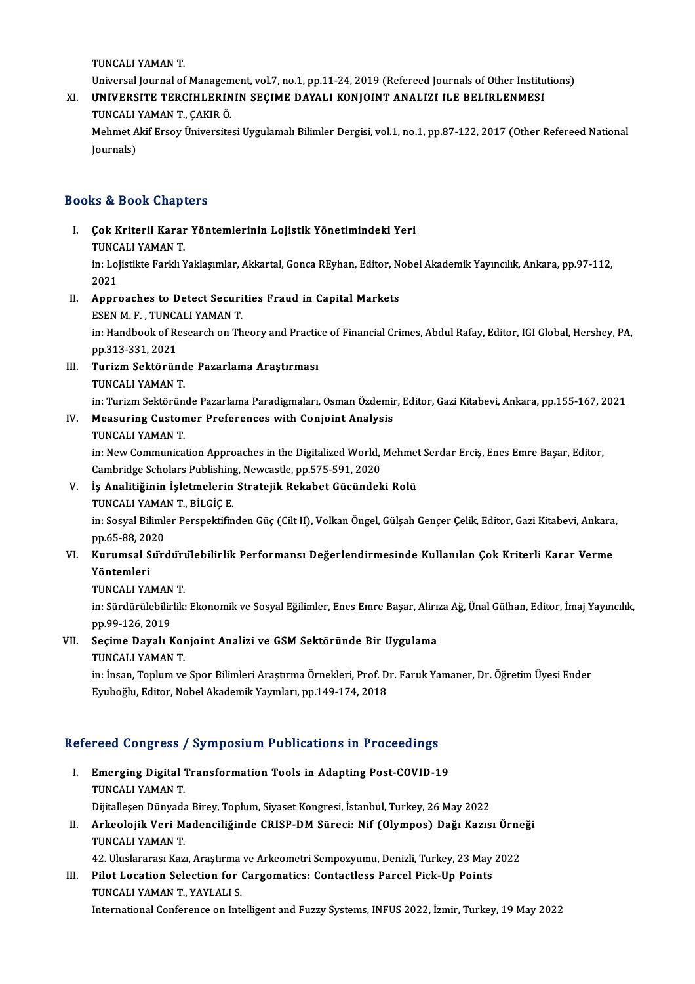TUNCALIYAMANT.

Universal Journal of Management, vol.7, no.1, pp.11-24, 2019 (Refereed Journals of Other Institutions)

## TUNCALI YAMAN T.<br>Universal Journal of Management, vol.7, no.1, pp.11-24, 2019 (Refereed Journals of Other Institu<br>XI. UNIVERSITE TERCIHLERININ SEÇIME DAYALI KONJOINT ANALIZI ILE BELIRLENMESI<br>TUNCALI YAMAN T. CAKIR Ö Universal Journal of Managem<br>**UNIVERSITE TERCIHLERIN<br>TUNCALI YAMAN T., ÇAKIR Ö.**<br>Mahmat Alif Engev Üniversite UNIVERSITE TERCIHLERININ SEÇIME DAYALI KONJOINT ANALIZI ILE BELIRLENMESI<br>TUNCALI YAMAN T., ÇAKIR Ö.<br>Mehmet Akif Ersoy Üniversitesi Uygulamalı Bilimler Dergisi, vol.1, no.1, pp.87-122, 2017 (Other Refereed National<br>Journals

TUNCALI<br>Mehmet A<br>Journals)

# Journals)<br>Books & Book Chapters

- ooks & Book Chapters<br>I. Çok Kriterli Karar Yöntemlerinin Lojistik Yönetimindeki Yeri<br>TUNCALLYAMAN T TUNCALI YAMANT.<br>TUNCALI YAMANT.<br>In: Lolistikte Ferkh Y Çok Kriterli Karar Yöntemlerinin Lojistik Yönetimindeki Yeri<br>TUNCALI YAMAN T.<br>in: Lojistikte Farklı Yaklaşımlar, Akkartal, Gonca REyhan, Editor, Nobel Akademik Yayıncılık, Ankara, pp.97-112,<br>2021 TUNC<br>in: Loj<br>2021<br>Annu in: Lojistikte Farklı Yaklaşımlar, Akkartal, Gonca REyhan, Editor, N<br>2021<br>II. Approaches to Detect Securities Fraud in Capital Markets<br>FEEN M.E. TUNCALLYAMAN.T
- 2021<br>Approaches to Detect Securi<br>ESEN M.F., TUNCALI YAMAN T.<br>in: Handbook of Bessarsh on Th Approaches to Detect Securities Fraud in Capital Markets<br>ESEN M. F. , TUNCALI YAMAN T.<br>in: Handbook of Research on Theory and Practice of Financial Crimes, Abdul Rafay, Editor, IGI Global, Hershey, PA,<br>pp 212-221-2021

ESEN M.F., TUNCA<br>in: Handbook of Re<br>pp.313-331, 2021<br>Tunium Soktönün in: Handbook of Research on Theory and Practic<br>pp.313-331, 2021<br>III. Turizm Sektöründe Pazarlama Araştırması<br>TUNGALLYAMAN T

pp.313-331, 2021<br><mark>Turizm Sektöründ</mark><br>TUNCALI YAMAN T.<br>in: Turizm Sektörün

Turizm Sektöründe Pazarlama Araştırması<br>TUNCALI YAMAN T.<br>in: Turizm Sektöründe Pazarlama Paradigmaları, Osman Özdemir, Editor, Gazi Kitabevi, Ankara, pp.155-167, 2021<br>Measuring Customar Proferences with Conjoint Analysis

# TUNCALI YAMAN T.<br>in: Turizm Sektöründe Pazarlama Paradigmaları, Osman Özdemi<br>IV. Measuring Customer Preferences with Conjoint Analysis<br>TUNCALI YAMAN T. in: Turizm Sektörün<br><mark>Measuring Custon</mark><br>TUNCALI YAMAN T.<br>in: Naw Communica

Measuring Customer Preferences with Conjoint Analysis<br>TUNCALI YAMAN T.<br>in: New Communication Approaches in the Digitalized World, Mehmet Serdar Erciş, Enes Emre Başar, Editor,<br>Cambridge Sebelars Publishing Newsestle, np 57 TUNCALI YAMAN T.<br>in: New Communication Approaches in the Digitalized World,<br>Cambridge Scholars Publishing, Newcastle, pp.575-591, 2020<br>Is Apolitičinin Isletmolarin Strateiilr Rekabet Güsündek in: New Communication Approaches in the Digitalized World, Mehmet<br>Cambridge Scholars Publishing, Newcastle, pp.575-591, 2020<br>V. İş Analitiğinin İşletmelerin Stratejik Rekabet Gücündeki Rolü<br>TINCALIYAMAN T. BİLÇİÇE

## Cambridge Scholars Publishing<br>İş Analitiğinin İşletmelerin<br>TUNCALI YAMAN T., BİLGİÇ E.<br>in: Sosual Bilimlar Paranalıtifin TUNCALI YAMAN T., BİLGİÇ E.

in: Sosyal Bilimler Perspektifinden Güç (Cilt II), Volkan Öngel, Gülşah Gençer Çelik, Editor, Gazi Kitabevi, Ankara, in: Sosyal Bilimler Perspektifinden Güç (Cilt II), Volkan Öngel, Gülşah Gençer Çelik, Editor, Gazi Kitabevi, Ankara<br>1916-1988, 2020<br>VI. Kurumsal Sürdürülebilirlik Performansı Değerlendirmesinde Kullanılan Çok Kriterli Kara

# pp.65-88, 2020<br>Kurumsal Sürdüru<br>Yöntemleri<br>TUNCALI YAMAN T. Kurumsal S<mark>urdur</mark>ı<br>Yöntemleri<br>TUNCALI YAMAN T.<br>in: Sürdünülabilirlik

**Yöntemleri**<br>TUNCALI YAMAN T.<br>in: Sürdürülebilirlik: Ekonomik ve Sosyal Eğilimler, Enes Emre Başar, Alirıza Ağ, Ünal Gülhan, Editor, İmaj Yayıncılık, **TUNCALI YAMAN<br>in: Sürdürülebilir<br>pp.99-126, 2019<br>Sesime Davalı k** in: Sürdürülebilirlik: Ekonomik ve Sosyal Eğilimler, Enes Emre Başar, Alirı:<br>pp.99-126, 2019<br>VII. Seçime Dayalı Konjoint Analizi ve GSM Sektöründe Bir Uygulama<br>TINCALLYAMAN T

# pp.99-126, 2019<br>Seçime Dayalı Kor<br>TUNCALI YAMAN T.<br>in: İncan Tonlum ya

Seçime Dayalı Konjoint Analizi ve GSM Sektöründe Bir Uygulama<br>TUNCALI YAMAN T.<br>in: İnsan, Toplum ve Spor Bilimleri Araştırma Örnekleri, Prof. Dr. Faruk Yamaner, Dr. Öğretim Üyesi Ender<br>Evyheğlu, Editer, Nebel Akademik Yayı TUNCALI YAMAN T.<br>in: İnsan, Toplum ve Spor Bilimleri Araştırma Örnekleri, Prof. D<br>Eyuboğlu, Editor, Nobel Akademik Yayınları, pp.149-174, 2018

# Eyuboğlu, Editor, Nobel Akademik Yayınları, pp.149-174, 2018<br>Refereed Congress / Symposium Publications in Proceedings

- efereed Congress / Symposium Publications in Proceedings<br>I. Emerging Digital Transformation Tools in Adapting Post-COVID-19<br>TINGALLYAMAN T TUCA GUILATUS<br>TUNCALI YAMAN T.<br>Dijitalleen Dünyade TUNCALI YAMAN T.<br>Dijitalleşen Dünyada Birey, Toplum, Siyaset Kongresi, İstanbul, Turkey, 26 May 2022 TUNCALI YAMAN T.<br>Dijitalleşen Dünyada Birey, Toplum, Siyaset Kongresi, İstanbul, Turkey, 26 May 2022<br>II. Arkeolojik Veri Madenciliğinde CRISP-DM Süreci: Nif (Olympos) Dağı Kazısı Örneği<br>TINCALI YAMAN T
- Dijitalleşen Dünyada<br>Arkeolojik Veri M<br>TUNCALI YAMAN T.<br>42 Hluslararsa Kar Arkeolojik Veri Madenciliğinde CRISP-DM Süreci: Nif (Olympos) Dağı Kazısı Örne<br>TUNCALI YAMAN T.<br>42. Uluslararası Kazı, Araştırma ve Arkeometri Sempozyumu, Denizli, Turkey, 23 May 2022<br>Bilot Logation Solostion for Corsomati TUNCALI YAMAN T.<br>42. Uluslararası Kazı, Araştırma ve Arkeometri Sempozyumu, Denizli, Turkey, 23 May 2022<br>III. Pilot Location Selection for Cargomatics: Contactless Parcel Pick-Up Points

## TUNCALIYAMANT.,YAYLALI S. International Conference on Intelligent and Fuzzy Systems, INFUS 2022, İzmir, Turkey, 19 May 2022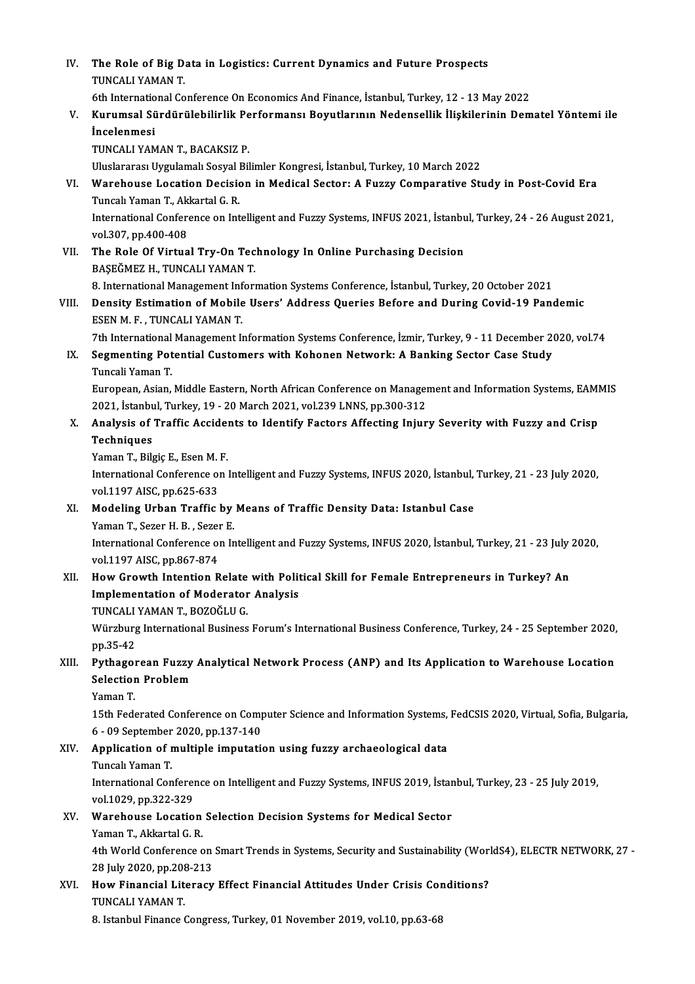IV. The Role of Big Data in Logistics: Current Dynamics and Future Prospects The Role of Big D.<br>TUNCALI YAMAN T.<br>Eth International Co 6th InternationalConferenceOnEconomicsAnd Finance, İstanbul,Turkey,12 -13May2022 TUNCALI YAMAN T.<br>6th International Conference On Economics And Finance, İstanbul, Turkey, 12 - 13 May 2022<br>7. Kurumsal Sürdürülebilirlik Performansı Boyutlarının Nedensellik İlişkilerinin Dematel Yöntemi ile<br>İncelenmesi **6th Internatio<br>Kurumsal Sü<br>İncelenmesi**<br>TUNCALLYAM Kurumsal Sürdürülebilirlik Pe<br>İncelenmesi<br>TUNCALI YAMAN T., BACAKSIZ P.<br>Uluclararası Uygulamalı Sasırıl Bil İncelenmesi<br>TUNCALI YAMAN T., BACAKSIZ P.<br>Uluslararası Uygulamalı Sosyal Bilimler Kongresi, İstanbul, Turkey, 10 March 2022<br>Warebouse Losation Dosision in Medisel Sestor: A Euggy Comporative Stı TUNCALI YAMAN T., BACAKSIZ P.<br>Uluslararası Uygulamalı Sosyal Bilimler Kongresi, İstanbul, Turkey, 10 March 2022<br>VI. Warehouse Location Decision in Medical Sector: A Fuzzy Comparative Study in Post-Covid Era<br>Tuncalı Yam Uluslararası Uygulamalı Sosyal I<br>Warehouse Location Decisio<br>Tuncalı Yaman T., Akkartal G. R.<br>International Conference en Int Warehouse Location Decision in Medical Sector: A Fuzzy Comparative Study in Post-Covid Era<br>Tuncalı Yaman T., Akkartal G. R.<br>International Conference on Intelligent and Fuzzy Systems, INFUS 2021, İstanbul, Turkey, 24 - 26 A Tuncalı Yaman T., Ak<br>International Confer<br>vol.307, pp.400-408<br>The Bole Of Vintus International Conference on Intelligent and Fuzzy Systems, INFUS 2021, İstanbu<br>vol.307, pp.400-408<br>VII. The Role Of Virtual Try-On Technology In Online Purchasing Decision<br>PASEČMEZ H. TINCALLYAMAN T. vol.307, pp.400-408<br>VII. The Role Of Virtual Try-On Technology In Online Purchasing Decision<br>BAŞEĞMEZ H., TUNCALI YAMAN T. The Role Of Virtual Try-On Technology In Online Purchasing Decision<br>BAŞEĞMEZ H., TUNCALI YAMAN T.<br>8. International Management Information Systems Conference, İstanbul, Turkey, 20 October 2021<br>Density Estimation of Mobile H BAŞEĞMEZ H., TUNCALI YAMAN T.<br>8. International Management Information Systems Conference, İstanbul, Turkey, 20 October 2021<br>19 Pandemic Density Estimation of Mobile Users' Address Queries Before and During Covid-19 Pandemi **8. International Management Inf**<br>**Density Estimation of Mobile**<br>ESEN M. F. , TUNCALI YAMAN T.<br><sup>7th International Management I.</sup> Density Estimation of Mobile Users' Address Queries Before and During Covid-19 Pandemic<br>ESEN M. F., TUNCALI YAMAN T.<br>7th International Management Information Systems Conference, İzmir, Turkey, 9 - 11 December 2020, vol.74<br> ESEN M. F., TUNCALI YAMAN T.<br>7th International Management Information Systems Conference, İzmir, Turkey, 9 - 11 December 2<br>IX. Segmenting Potential Customers with Kohonen Network: A Banking Sector Case Study<br>Tungeli Ya Th International<br>Segmenting Pot<br>Tuncali Yaman T.<br>Euronean Asian Segmenting Potential Customers with Kohonen Network: A Banking Sector Case Study<br>Tuncali Yaman T.<br>European, Asian, Middle Eastern, North African Conference on Management and Information Systems, EAMMIS<br>2021, Istanbul Turke Tuncali Yaman T.<br>European, Asian, Middle Eastern, North African Conference on Manager<br>2021, İstanbul, Turkey, 19 - 20 March 2021, vol.239 LNNS, pp.300-312<br>Analysis of Traffic Assidents to Identify Fastors Affecting Injur 2021, İstanbul, Turkey, 19 - 20 March 2021, vol.239 LNNS, pp.300-312<br>X. Analysis of Traffic Accidents to Identify Factors Affecting Injury Severity with Fuzzy and Crisp Techniques Analysis of Traffic Accide<br>Techniques<br>Yaman T., Bilgiç E., Esen M. F.<br>International Conference on International Conference on Intelligent and Fuzzy Systems, INFUS 2020, İstanbul, Turkey, 21 - 23 July 2020, vol.1197 AISC, pp.625-633 Yaman T., Bilgiç E., Esen M.<br>International Conference of<br>vol.1197 AISC, pp.625-633<br>Medeling Urben Treffie International Conference on Intelligent and Fuzzy Systems, INFUS 2020, İstanbul,<br>vol.1197 AISC, pp.625-633<br>XI. Modeling Urban Traffic by Means of Traffic Density Data: Istanbul Case<br>Vaman T. Sazar H. B. Sazar E. vol.1197 AISC, pp.625-633<br>Modeling Urban Traffic by<br>Yaman T., Sezer H. B. , Sezer E.<br>International Conference on In Modeling Urban Traffic by Means of Traffic Density Data: Istanbul Case<br>Yaman T., Sezer H. B. , Sezer E.<br>International Conference on Intelligent and Fuzzy Systems, INFUS 2020, İstanbul, Turkey, 21 - 23 July 2020,<br>vol.1197 A Yaman T., Sezer H. B. , Sezer<br>International Conference of<br>vol.1197 AISC, pp.867-874<br>How Crowth Intention B International Conference on Intelligent and Fuzzy Systems, INFUS 2020, İstanbul, Turkey, 21 - 23 July vol.1197 AISC, pp.867-874<br>XII. How Growth Intention Relate with Political Skill for Female Entrepreneurs in Turkey? An<br>I vol.1197 AISC, pp.867-874<br>How Growth Intention Relate with Political Skill for Female Entrepreneurs in Turkey? An Implementation of Moderator Analysis Würzburg International Business Forum's International Business Conference, Turkey, 24 - 25 September 2020, pp.35-42 TUNCALI YAMAN T., BOZOĞLU G. Würzburg International Business Forum's International Business Conference, Turkey, 24 - 25 September 2020,<br>pp.35-42<br>XIII. Pythagorean Fuzzy Analytical Network Process (ANP) and Its Application to Warehouse Location<br>Selecti pp.35-42<br>Pythagorean Fuzzy<br>Selection Problem<br><sup>Vaman T</sup> Pythago<br>Selectior<br>Yaman T.<br>15th Fede Selection Problem<br>Yaman T.<br>15th Federated Conference on Computer Science and Information Systems, FedCSIS 2020, Virtual, Sofia, Bulgaria, Yaman T.<br>15th Federated Conference on Comp<br>6 - 09 September 2020, pp.137-140<br>Annligation of multiple imputatio 15th Federated Conference on Computer Science and Information Systems,<br>6 - 09 September 2020, pp.137-140<br>XIV. Application of multiple imputation using fuzzy archaeological data<br>Tungal Yaman T 6 - 09 September<br>Application of 1<br>Tuncalı Yaman T.<br>International Con Application of multiple imputation using fuzzy archaeological data<br>Tuncalı Yaman T.<br>International Conference on Intelligent and Fuzzy Systems, INFUS 2019, İstanbul, Turkey, 23 - 25 July 2019,<br>vol.1029, pp.222, 229. Tuncalı Yaman T.<br>International Conferer<br>vol.1029, pp.322-329<br>Warebouse Locatio International Conference on Intelligent and Fuzzy Systems, INFUS 2019, İstan<br>vol.1029, pp.322-329<br>XV. Warehouse Location Selection Decision Systems for Medical Sector<br>voman T. Akkartal G. B. vol.1029, pp.322-329<br>Warehouse Location<br>Yaman T., Akkartal G. R.<br>4th World Conference c Warehouse Location Selection Decision Systems for Medical Sector<br>Yaman T., Akkartal G. R.<br>4th World Conference on Smart Trends in Systems, Security and Sustainability (WorldS4), ELECTR NETWORK, 27 -<br>28 July 2020, np.208, 2 Yaman T., Akkartal G. R.<br>4th World Conference on<br>28 July 2020, pp.208-213<br>How Einensial Literesu 4th World Conference on Smart Trends in Systems, Security and Sustainability (Wor.<br>28 July 2020, pp.208-213<br>XVI. How Financial Literacy Effect Financial Attitudes Under Crisis Conditions?<br>TINCALLYAMAN T 28 July 2020, pp.208-213<br>How Financial Literacy Effect Financial Attitudes Under Crisis Conditions?<br>TUNCALI YAMAN T. 8. Istanbul Finance Congress, Turkey, 01 November 2019, vol.10, pp.63-68